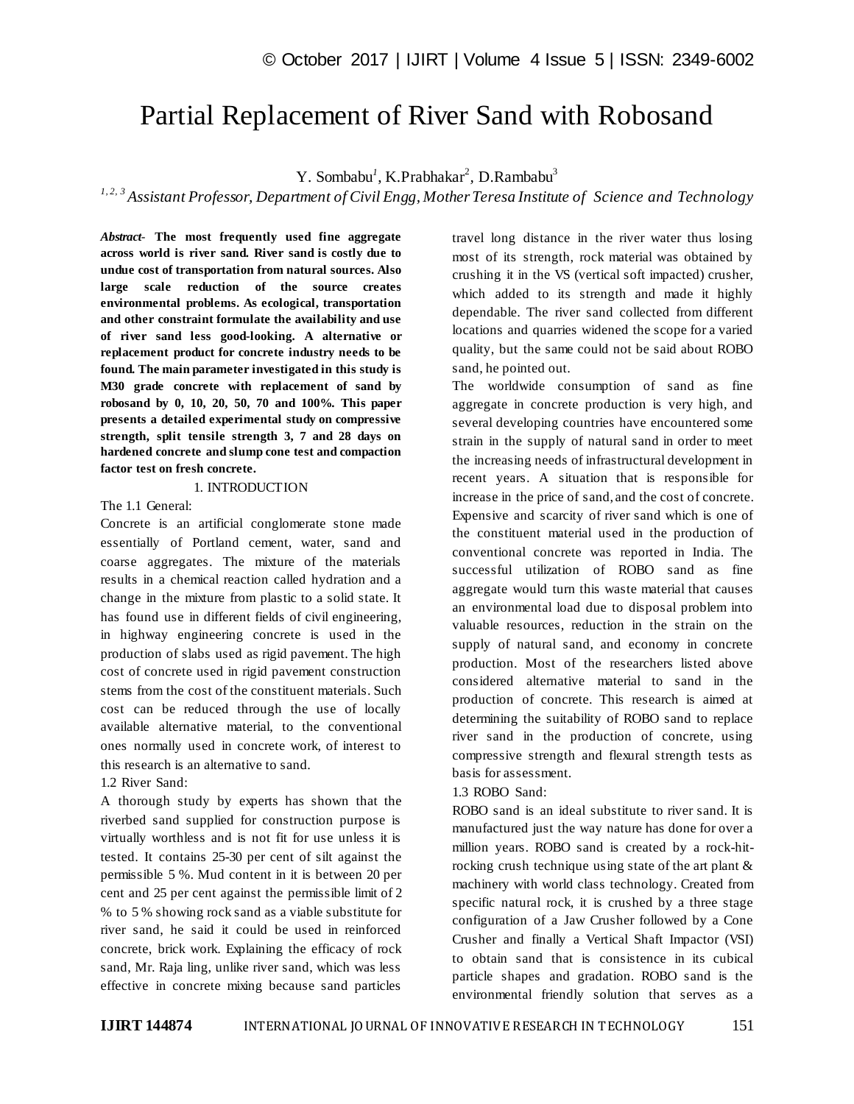# Partial Replacement of River Sand with Robosand

Y. Sombabu<sup>1</sup>, K.Prabhakar<sup>2</sup>, D.Rambabu<sup>3</sup>

*1, 2, 3 Assistant Professor, Department of Civil Engg, Mother Teresa Institute of Science and Technology*

*Abstract*- **The most frequently used fine aggregate across world is river sand. River sand is costly due to undue cost of transportation from natural sources. Also large scale reduction of the source creates environmental problems. As ecological, transportation and other constraint formulate the availability and use of river sand less good-looking. A alternative or replacement product for concrete industry needs to be found. The main parameter investigated in this study is M30 grade concrete with replacement of sand by robosand by 0, 10, 20, 50, 70 and 100%. This paper presents a detailed experimental study on compressive strength, split tensile strength 3, 7 and 28 days on hardened concrete and slump cone test and compaction factor test on fresh concrete.**

#### 1. INTRODUCTION

#### The 1.1 General:

Concrete is an artificial conglomerate stone made essentially of Portland cement, water, sand and coarse aggregates. The mixture of the materials results in a chemical reaction called hydration and a change in the mixture from plastic to a solid state. It has found use in different fields of civil engineering, in highway engineering concrete is used in the production of slabs used as rigid pavement. The high cost of concrete used in rigid pavement construction stems from the cost of the constituent materials. Such cost can be reduced through the use of locally available alternative material, to the conventional ones normally used in concrete work, of interest to this research is an alternative to sand.

#### 1.2 River Sand:

A thorough study by experts has shown that the riverbed sand supplied for construction purpose is virtually worthless and is not fit for use unless it is tested. It contains 25-30 per cent of silt against the permissible 5 %. Mud content in it is between 20 per cent and 25 per cent against the permissible limit of 2 % to 5 % showing rock sand as a viable substitute for river sand, he said it could be used in reinforced concrete, brick work. Explaining the efficacy of rock sand, Mr. Raja ling, unlike river sand, which was less effective in concrete mixing because sand particles

travel long distance in the river water thus losing most of its strength, rock material was obtained by crushing it in the VS (vertical soft impacted) crusher, which added to its strength and made it highly dependable. The river sand collected from different locations and quarries widened the scope for a varied quality, but the same could not be said about ROBO sand, he pointed out.

The worldwide consumption of sand as fine aggregate in concrete production is very high, and several developing countries have encountered some strain in the supply of natural sand in order to meet the increasing needs of infrastructural development in recent years. A situation that is responsible for increase in the price of sand, and the cost of concrete. Expensive and scarcity of river sand which is one of the constituent material used in the production of conventional concrete was reported in India. The successful utilization of ROBO sand as fine aggregate would turn this waste material that causes an environmental load due to disposal problem into valuable resources, reduction in the strain on the supply of natural sand, and economy in concrete production. Most of the researchers listed above considered alternative material to sand in the production of concrete. This research is aimed at determining the suitability of ROBO sand to replace river sand in the production of concrete, using compressive strength and flexural strength tests as basis for assessment.

#### 1.3 ROBO Sand:

ROBO sand is an ideal substitute to river sand. It is manufactured just the way nature has done for over a million years. ROBO sand is created by a rock-hitrocking crush technique using state of the art plant & machinery with world class technology. Created from specific natural rock, it is crushed by a three stage configuration of a Jaw Crusher followed by a Cone Crusher and finally a Vertical Shaft Impactor (VSI) to obtain sand that is consistence in its cubical particle shapes and gradation. ROBO sand is the environmental friendly solution that serves as a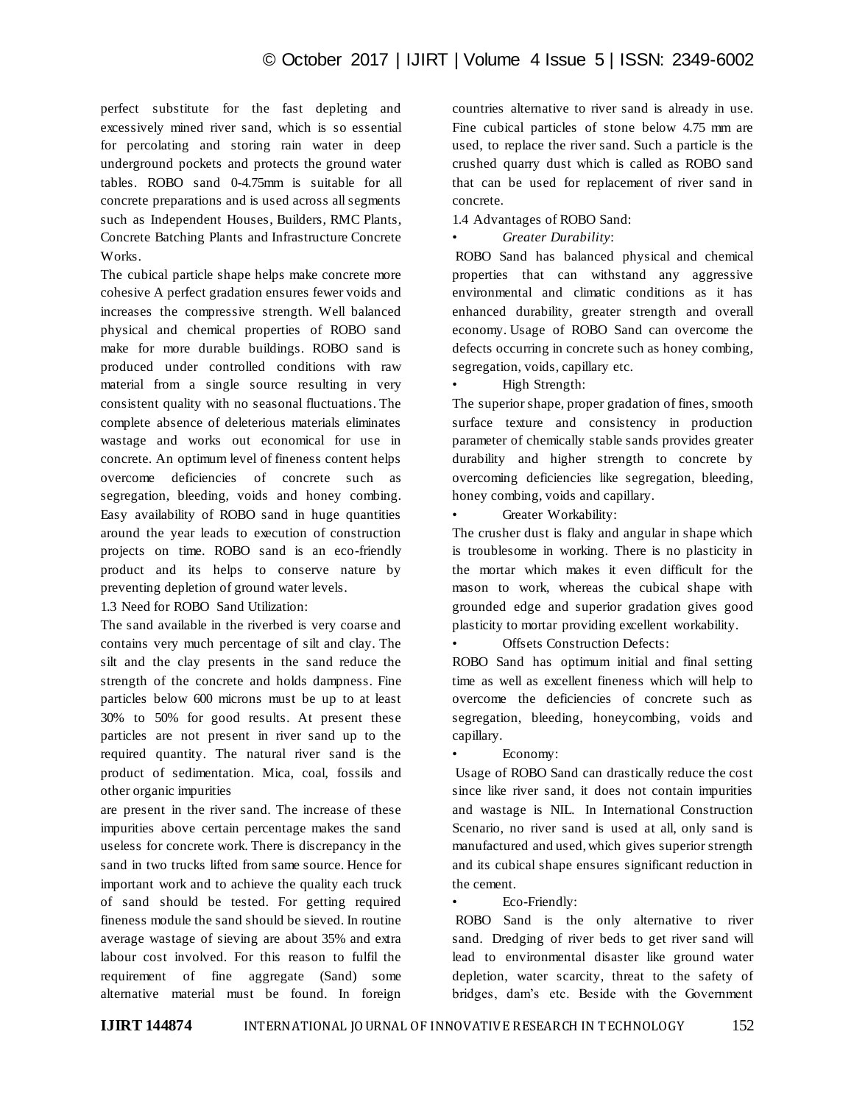perfect substitute for the fast depleting and excessively mined river sand, which is so essential for percolating and storing rain water in deep underground pockets and protects the ground water tables. ROBO sand 0-4.75mm is suitable for all concrete preparations and is used across all segments such as Independent Houses, Builders, RMC Plants, Concrete Batching Plants and Infrastructure Concrete Works.

The cubical particle shape helps make concrete more cohesive A perfect gradation ensures fewer voids and increases the compressive strength. Well balanced physical and chemical properties of ROBO sand make for more durable buildings. ROBO sand is produced under controlled conditions with raw material from a single source resulting in very consistent quality with no seasonal fluctuations. The complete absence of deleterious materials eliminates wastage and works out economical for use in concrete. An optimum level of fineness content helps overcome deficiencies of concrete such as segregation, bleeding, voids and honey combing. Easy availability of ROBO sand in huge quantities around the year leads to execution of construction projects on time. ROBO sand is an eco-friendly product and its helps to conserve nature by preventing depletion of ground water levels.

1.3 Need for ROBO Sand Utilization:

The sand available in the riverbed is very coarse and contains very much percentage of silt and clay. The silt and the clay presents in the sand reduce the strength of the concrete and holds dampness. Fine particles below 600 microns must be up to at least 30% to 50% for good results. At present these particles are not present in river sand up to the required quantity. The natural river sand is the product of sedimentation. Mica, coal, fossils and other organic impurities

are present in the river sand. The increase of these impurities above certain percentage makes the sand useless for concrete work. There is discrepancy in the sand in two trucks lifted from same source. Hence for important work and to achieve the quality each truck of sand should be tested. For getting required fineness module the sand should be sieved. In routine average wastage of sieving are about 35% and extra labour cost involved. For this reason to fulfil the requirement of fine aggregate (Sand) some alternative material must be found. In foreign

countries alternative to river sand is already in use. Fine cubical particles of stone below 4.75 mm are used, to replace the river sand. Such a particle is the crushed quarry dust which is called as ROBO sand that can be used for replacement of river sand in concrete.

1.4 Advantages of ROBO Sand:

• *Greater Durability*:

ROBO Sand has balanced physical and chemical properties that can withstand any aggressive environmental and climatic conditions as it has enhanced durability, greater strength and overall economy. Usage of ROBO Sand can overcome the defects occurring in concrete such as honey combing, segregation, voids, capillary etc.

• High Strength:

The superior shape, proper gradation of fines, smooth surface texture and consistency in production parameter of chemically stable sands provides greater durability and higher strength to concrete by overcoming deficiencies like segregation, bleeding, honey combing, voids and capillary.

Greater Workability:

The crusher dust is flaky and angular in shape which is troublesome in working. There is no plasticity in the mortar which makes it even difficult for the mason to work, whereas the cubical shape with grounded edge and superior gradation gives good plasticity to mortar providing excellent workability.

Offsets Construction Defects:

ROBO Sand has optimum initial and final setting time as well as excellent fineness which will help to overcome the deficiencies of concrete such as segregation, bleeding, honeycombing, voids and capillary.

Economy:

Usage of ROBO Sand can drastically reduce the cost since like river sand, it does not contain impurities and wastage is NIL. In International Construction Scenario, no river sand is used at all, only sand is manufactured and used, which gives superior strength and its cubical shape ensures significant reduction in the cement.

Eco-Friendly:

ROBO Sand is the only alternative to river sand. Dredging of river beds to get river sand will lead to environmental disaster like ground water depletion, water scarcity, threat to the safety of bridges, dam"s etc. Beside with the Government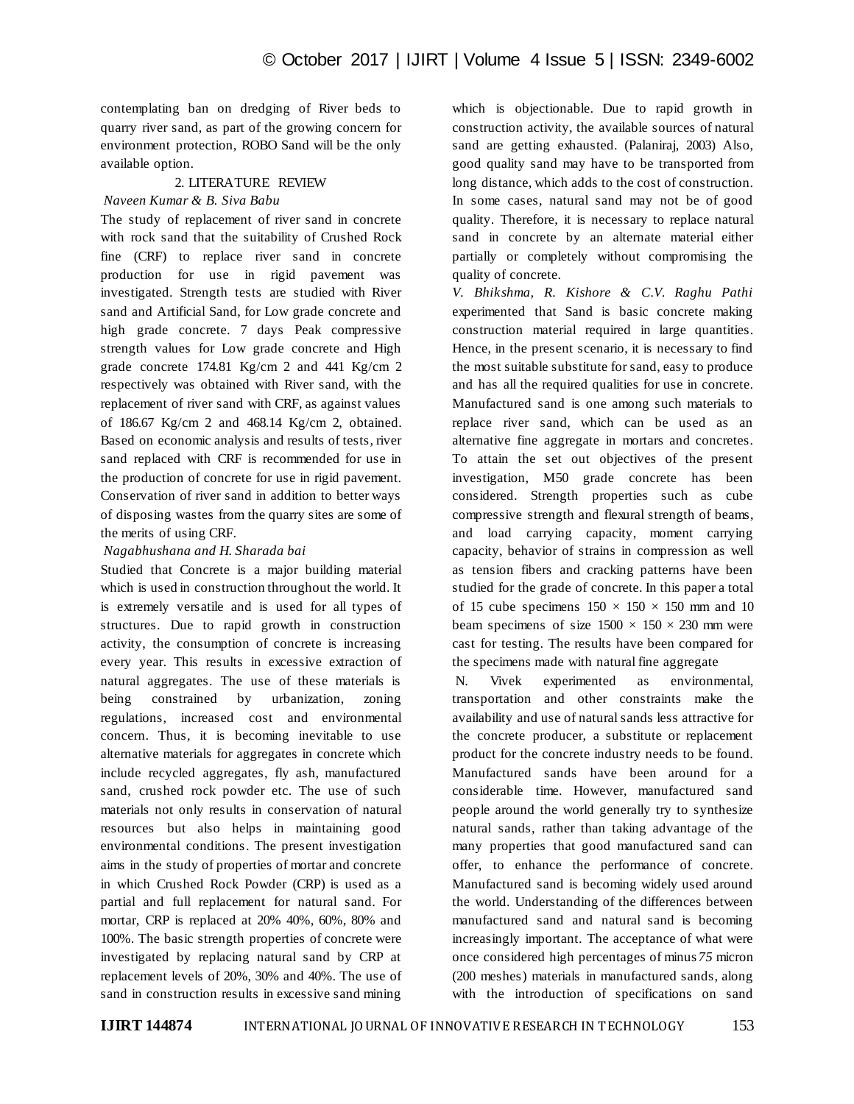contemplating ban on dredging of River beds to quarry river sand, as part of the growing concern for environment protection, ROBO Sand will be the only available option.

## 2. LITERATURE REVIEW

### *Naveen Kumar & B. Siva Babu*

The study of replacement of river sand in concrete with rock sand that the suitability of Crushed Rock fine (CRF) to replace river sand in concrete production for use in rigid pavement was investigated. Strength tests are studied with River sand and Artificial Sand, for Low grade concrete and high grade concrete. 7 days Peak compressive strength values for Low grade concrete and High grade concrete 174.81 Kg/cm 2 and 441 Kg/cm 2 respectively was obtained with River sand, with the replacement of river sand with CRF, as against values of 186.67 Kg/cm 2 and 468.14 Kg/cm 2, obtained. Based on economic analysis and results of tests, river sand replaced with CRF is recommended for use in the production of concrete for use in rigid pavement. Conservation of river sand in addition to better ways of disposing wastes from the quarry sites are some of the merits of using CRF.

*Nagabhushana and H. Sharada bai* 

Studied that Concrete is a major building material which is used in construction throughout the world. It is extremely versatile and is used for all types of structures. Due to rapid growth in construction activity, the consumption of concrete is increasing every year. This results in excessive extraction of natural aggregates. The use of these materials is being constrained by urbanization, zoning regulations, increased cost and environmental concern. Thus, it is becoming inevitable to use alternative materials for aggregates in concrete which include recycled aggregates, fly ash, manufactured sand, crushed rock powder etc. The use of such materials not only results in conservation of natural resources but also helps in maintaining good environmental conditions. The present investigation aims in the study of properties of mortar and concrete in which Crushed Rock Powder (CRP) is used as a partial and full replacement for natural sand. For mortar, CRP is replaced at 20% 40%, 60%, 80% and 100%. The basic strength properties of concrete were investigated by replacing natural sand by CRP at replacement levels of 20%, 30% and 40%. The use of sand in construction results in excessive sand mining which is objectionable. Due to rapid growth in construction activity, the available sources of natural sand are getting exhausted. (Palaniraj, 2003) Also, good quality sand may have to be transported from long distance, which adds to the cost of construction. In some cases, natural sand may not be of good quality. Therefore, it is necessary to replace natural sand in concrete by an alternate material either partially or completely without compromising the quality of concrete.

*V. Bhikshma, R. Kishore & C.V. Raghu Pathi* experimented that Sand is basic concrete making construction material required in large quantities. Hence, in the present scenario, it is necessary to find the most suitable substitute for sand, easy to produce and has all the required qualities for use in concrete. Manufactured sand is one among such materials to replace river sand, which can be used as an alternative fine aggregate in mortars and concretes. To attain the set out objectives of the present investigation, M50 grade concrete has been considered. Strength properties such as cube compressive strength and flexural strength of beams, and load carrying capacity, moment carrying capacity, behavior of strains in compression as well as tension fibers and cracking patterns have been studied for the grade of concrete. In this paper a total of 15 cube specimens  $150 \times 150 \times 150$  mm and 10 beam specimens of size  $1500 \times 150 \times 230$  mm were cast for testing. The results have been compared for the specimens made with natural fine aggregate

N. Vivek experimented as environmental, transportation and other constraints make the availability and use of natural sands less attractive for the concrete producer, a substitute or replacement product for the concrete industry needs to be found. Manufactured sands have been around for a considerable time. However, manufactured sand people around the world generally try to synthesize natural sands, rather than taking advantage of the many properties that good manufactured sand can offer, to enhance the performance of concrete. Manufactured sand is becoming widely used around the world. Understanding of the differences between manufactured sand and natural sand is becoming increasingly important. The acceptance of what were once considered high percentages of minus*75* micron (200 meshes) materials in manufactured sands, along with the introduction of specifications on sand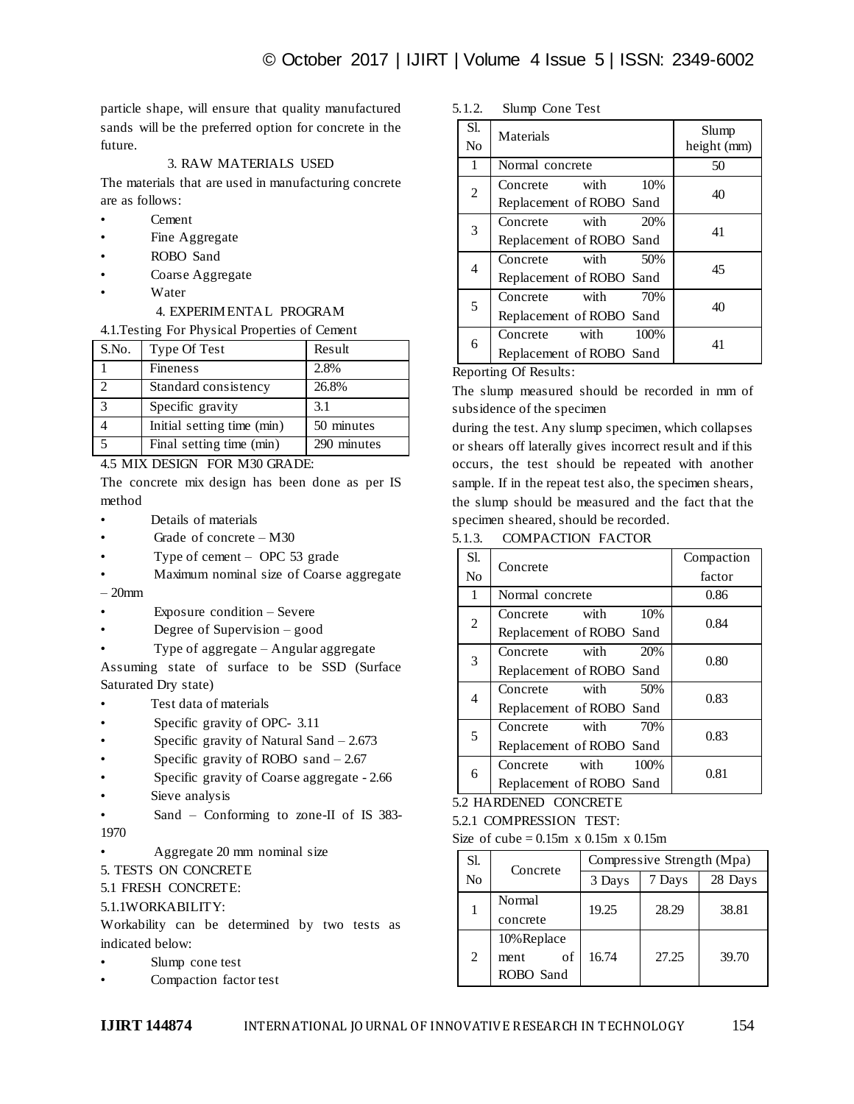particle shape, will ensure that quality manufactured sands will be the preferred option for concrete in the future.

#### 3. RAW MATERIALS USED

The materials that are used in manufacturing concrete are as follows:

- Cement
- Fine Aggregate
- ROBO Sand
- Coarse Aggregate
- **Water**

### 4. EXPERIMENTAL PROGRAM

#### 4.1.Testing For Physical Properties of Cement

| S.No.                       | Type Of Test               | Result      |
|-----------------------------|----------------------------|-------------|
|                             | <b>Fineness</b>            | 2.8%        |
| $\mathcal{D}_{\mathcal{L}}$ | Standard consistency       | 26.8%       |
|                             | Specific gravity           | 3.1         |
|                             | Initial setting time (min) | 50 minutes  |
|                             | Final setting time (min)   | 290 minutes |

4.5 MIX DESIGN FOR M30 GRADE:

The concrete mix design has been done as per IS method

- Details of materials
- Grade of concrete M30
- Type of cement  $-$  OPC 53 grade
- Maximum nominal size of Coarse aggregate – 20mm
- 
- Exposure condition Severe
- Degree of Supervision good
- Type of aggregate Angular aggregate

Assuming state of surface to be SSD (Surface Saturated Dry state)

- Test data of materials
- Specific gravity of OPC- 3.11
- Specific gravity of Natural Sand  $-2.673$
- Specific gravity of ROBO sand  $-2.67$
- Specific gravity of Coarse aggregate 2.66
- Sieve analysis
- Sand Conforming to zone-II of IS 383- 1970
- Aggregate 20 mm nominal size
- 5. TESTS ON CONCRETE
- 5.1 FRESH CONCRETE:
- 5.1.1WORKABILITY:

Workability can be determined by two tests as indicated below:

- Slump cone test
- Compaction factor test

#### 5.1.2. Slump Cone Test

| Sl.<br>N <sub>0</sub> | Materials                                            | Slump<br>height (mm) |
|-----------------------|------------------------------------------------------|----------------------|
| $\mathbf{1}$          | Normal concrete                                      | 50                   |
| $\overline{2}$        | 10%<br>Concrete with<br>Replacement of ROBO Sand     | 40                   |
| 3                     | Concrete with<br>20%<br>Replacement of ROBO Sand     | 41                   |
| 4                     | with<br>50%<br>Concrete<br>Replacement of ROBO Sand  | 45                   |
| 5                     | with<br>Concrete<br>70%<br>Replacement of ROBO Sand  | 40                   |
| 6                     | with<br>100%<br>Concrete<br>Replacement of ROBO Sand | 41                   |

#### Reporting Of Results:

The slump measured should be recorded in mm of subsidence of the specimen

during the test. Any slump specimen, which collapses or shears off laterally gives incorrect result and if this occurs, the test should be repeated with another sample. If in the repeat test also, the specimen shears, the slump should be measured and the fact that the specimen sheared, should be recorded.

5.1.3. COMPACTION FACTOR

| Sl.            | Concrete                 | Compaction |  |
|----------------|--------------------------|------------|--|
| N <sub>o</sub> |                          | factor     |  |
| 1              | Normal concrete          | 0.86       |  |
| $\overline{c}$ | 10%<br>Concrete with     | 0.84       |  |
|                | Replacement of ROBO Sand |            |  |
| 3              | with<br>Concrete<br>20%  | 0.80       |  |
|                | Replacement of ROBO Sand |            |  |
| 4              | Concrete with<br>50%     | 0.83       |  |
|                | Replacement of ROBO Sand |            |  |
| 5              | with<br>70%<br>Concrete  | 0.83       |  |
|                | Replacement of ROBO Sand |            |  |
| 6              | with<br>Concrete<br>100% | 0.81       |  |
|                | Replacement of ROBO Sand |            |  |

5.2 HARDENED CONCRETE

5.2.1 COMPRESSION TEST:

Size of cube  $= 0.15m \times 0.15m \times 0.15m$ 

| Sl. | Concrete                               | Compressive Strength (Mpa) |        |         |
|-----|----------------------------------------|----------------------------|--------|---------|
| No  |                                        | 3 Days                     | 7 Days | 28 Days |
|     | Normal<br>concrete                     | 19.25                      | 28.29  | 38.81   |
| 2   | 10% Replace<br>of<br>ment<br>ROBO Sand | 16.74                      | 27.25  | 39.70   |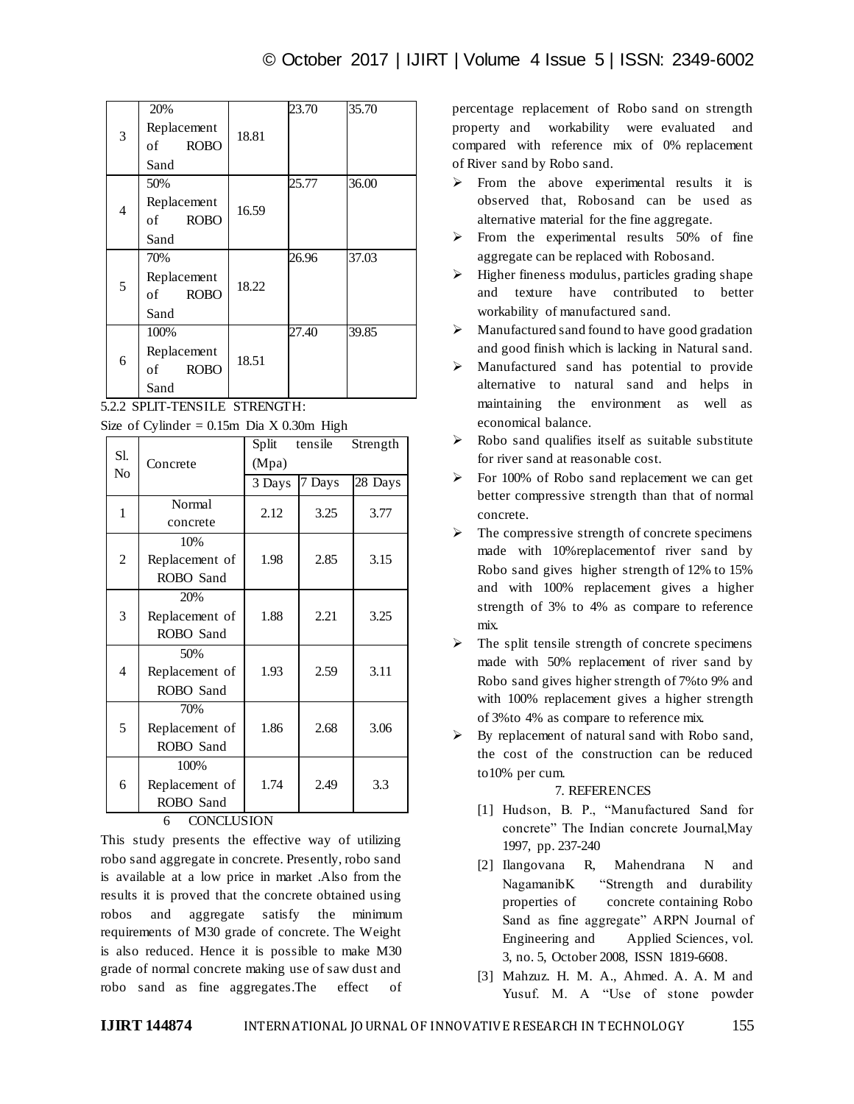|   | 20%               |       | 23.70 | 35.70 |
|---|-------------------|-------|-------|-------|
| 3 | Replacement       | 18.81 |       |       |
|   | <b>ROBO</b><br>of |       |       |       |
|   | Sand              |       |       |       |
|   | 50%               |       | 25.77 | 36.00 |
| 4 | Replacement       | 16.59 |       |       |
|   | <b>ROBO</b><br>of |       |       |       |
|   | Sand              |       |       |       |
|   | 70%               |       | 26.96 | 37.03 |
| 5 | Replacement       | 18.22 |       |       |
|   | <b>ROBO</b><br>of |       |       |       |
|   | Sand              |       |       |       |
| 6 | 100%              |       | 27.40 | 39.85 |
|   | Replacement       | 18.51 |       |       |
|   | <b>ROBO</b><br>of |       |       |       |
|   | Sand              |       |       |       |

5.2.2 SPLIT-TENSILE STRENGTH:

|  | Size of Cylinder = $0.15$ m Dia X 0.30m High |  |  |  |  |
|--|----------------------------------------------|--|--|--|--|
|--|----------------------------------------------|--|--|--|--|

|                        | Concrete       | Split<br>tensile |        | Strength |  |
|------------------------|----------------|------------------|--------|----------|--|
| Sl.                    |                | (Mpa)            |        |          |  |
| No                     |                | 3 Days           | 7 Days | 28 Days  |  |
| 1                      | Normal         | 2.12             | 3.25   | 3.77     |  |
|                        | concrete       |                  |        |          |  |
|                        | 10%            |                  |        |          |  |
| $\overline{c}$         | Replacement of | 1.98             | 2.85   | 3.15     |  |
|                        | ROBO Sand      |                  |        |          |  |
|                        | 20%            |                  |        |          |  |
| 3                      | Replacement of | 1.88             | 2.21   | 3.25     |  |
|                        | ROBO Sand      |                  |        |          |  |
|                        | 50%            |                  |        |          |  |
| 4                      | Replacement of | 1.93             | 2.59   | 3.11     |  |
|                        | ROBO Sand      |                  |        |          |  |
| 5                      | 70%            |                  |        |          |  |
|                        | Replacement of | 1.86             | 2.68   | 3.06     |  |
|                        | ROBO Sand      |                  |        |          |  |
|                        | 100%           |                  |        |          |  |
| 6                      | Replacement of | 1.74             | 2.49   | 3.3      |  |
|                        | ROBO Sand      |                  |        |          |  |
| <b>CONCLUSION</b><br>6 |                |                  |        |          |  |

This study presents the effective way of utilizing robo sand aggregate in concrete. Presently, robo sand is available at a low price in market .Also from the results it is proved that the concrete obtained using robos and aggregate satisfy the minimum requirements of M30 grade of concrete. The Weight is also reduced. Hence it is possible to make M30 grade of normal concrete making use of saw dust and robo sand as fine aggregates.The effect of

percentage replacement of Robo sand on strength property and workability were evaluated and compared with reference mix of 0% replacement of River sand by Robo sand.

- $\triangleright$  From the above experimental results it is observed that, Robosand can be used as alternative material for the fine aggregate.
- $\triangleright$  From the experimental results 50% of fine aggregate can be replaced with Robosand.
- $\triangleright$  Higher fineness modulus, particles grading shape and texture have contributed to better workability of manufactured sand.
- $\triangleright$  Manufactured sand found to have good gradation and good finish which is lacking in Natural sand.
- Manufactured sand has potential to provide alternative to natural sand and helps in maintaining the environment as well as economical balance.
- Robo sand qualifies itself as suitable substitute for river sand at reasonable cost.
- For 100% of Robo sand replacement we can get better compressive strength than that of normal concrete.
- The compressive strength of concrete specimens made with 10%replacementof river sand by Robo sand gives higher strength of 12% to 15% and with 100% replacement gives a higher strength of 3% to 4% as compare to reference mix.
- $\triangleright$  The split tensile strength of concrete specimens made with 50% replacement of river sand by Robo sand gives higher strength of 7%to 9% and with 100% replacement gives a higher strength of 3%to 4% as compare to reference mix.
- By replacement of natural sand with Robo sand, the cost of the construction can be reduced to10% per cum.

### 7. REFERENCES

- [1] Hudson, B. P., "Manufactured Sand for concrete" The Indian concrete Journal,May 1997, pp. 237-240
- [2] Ilangovana R, Mahendrana N and NagamanibK "Strength and durability properties of concrete containing Robo Sand as fine aggregate" ARPN Journal of Engineering and Applied Sciences, vol. 3, no. 5, October 2008, ISSN 1819-6608.
- [3] Mahzuz. H. M. A., Ahmed. A. A. M and Yusuf. M. A "Use of stone powder